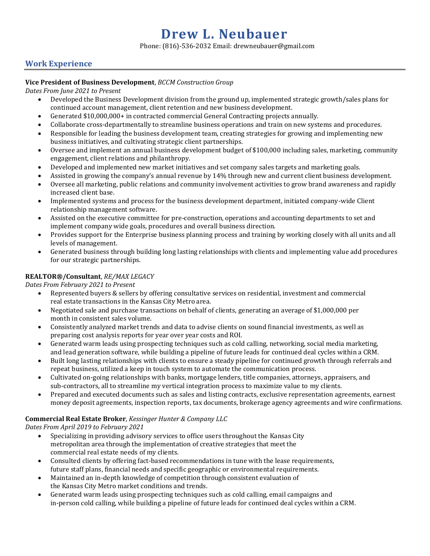# **Drew L. Neubauer**

Phone: (816)-536-2032 Email: drewneubauer@gmail.com

# **Work Experience**

#### **Vice President of Business Development**, *BCCM Construction Group*

*Dates From June 2021 to Present*

- Developed the Business Development division from the ground up, implemented strategic growth/sales plans for continued account management, client retention and new business development.
- Generated \$10,000,000+ in contracted commercial General Contracting projects annually.
- Collaborate cross-departmentally to streamline business operations and train on new systems and procedures.
- Responsible for leading the business development team, creating strategies for growing and implementing new business initiatives, and cultivating strategic client partnerships.
- Oversee and implement an annual business development budget of \$100,000 including sales, marketing, community engagement, client relations and philanthropy.
- Developed and implemented new market initiatives and set company sales targets and marketing goals.
- Assisted in growing the company's annual revenue by 14% through new and current client business development.
- Oversee all marketing, public relations and community involvement activities to grow brand awareness and rapidly increased client base.
- Implemented systems and process for the business development department, initiated company-wide Client relationship management software.
- Assisted on the executive committee for pre-construction, operations and accounting departments to set and implement company wide goals, procedures and overall business direction.
- Provides support for the Enterprise business planning process and training by working closely with all units and all levels of management.
- Generated business through building long lasting relationships with clients and implementing value add procedures for our strategic partnerships.

### **REALTOR®/Consultant**, *RE/MAX LEGACY*

*Dates From February 2021 to Present*

- Represented buyers & sellers by offering consultative services on residential, investment and commercial real estate transactions in the Kansas City Metro area.
- Negotiated sale and purchase transactions on behalf of clients, generating an average of \$1,000,000 per month in consistent sales volume.
- Consistently analyzed market trends and data to advise clients on sound financial investments, as well as preparing cost analysis reports for year over year costs and ROI.
- Generated warm leads using prospecting techniques such as cold calling, networking, social media marketing, and lead generation software, while building a pipeline of future leads for continued deal cycles within a CRM.
- Built long lasting relationships with clients to ensure a steady pipeline for continued growth through referrals and repeat business, utilized a keep in touch system to automate the communication process.
- Cultivated on-going relationships with banks, mortgage lenders, title companies, attorneys, appraisers, and sub-contractors, all to streamline my vertical integration process to maximize value to my clients.
- Prepared and executed documents such as sales and listing contracts, exclusive representation agreements, earnest money deposit agreements, inspection reports, tax documents, brokerage agency agreements and wire confirmations.

## **Commercial Real Estate Broker**, *Kessinger Hunter & Company LLC*

*Dates From April 2019 to February 2021*

- Specializing in providing advisory services to office users throughout the Kansas City metropolitan area through the implementation of creative strategies that meet the commercial real estate needs of my clients.
- Consulted clients by offering fact-based recommendations in tune with the lease requirements, future staff plans, financial needs and specific geographic or environmental requirements.
- Maintained an in-depth knowledge of competition through consistent evaluation of the Kansas City Metro market conditions and trends.
- Generated warm leads using prospecting techniques such as cold calling, email campaigns and in-person cold calling, while building a pipeline of future leads for continued deal cycles within a CRM.